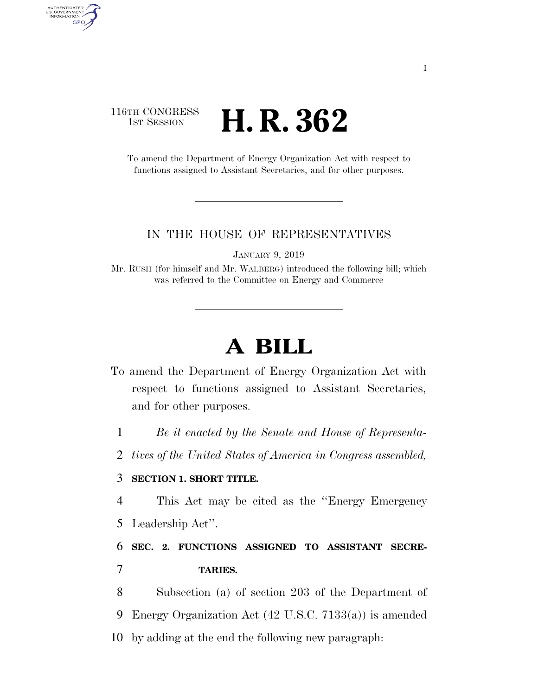### 116TH CONGRESS **1st Session H. R. 362**

AUTHENTICATED<br>U.S. GOVERNMENT<br>INFORMATION **GPO** 

> To amend the Department of Energy Organization Act with respect to functions assigned to Assistant Secretaries, and for other purposes.

#### IN THE HOUSE OF REPRESENTATIVES

JANUARY 9, 2019

Mr. RUSH (for himself and Mr. WALBERG) introduced the following bill; which was referred to the Committee on Energy and Commerce

# **A BILL**

- To amend the Department of Energy Organization Act with respect to functions assigned to Assistant Secretaries, and for other purposes.
	- 1 *Be it enacted by the Senate and House of Representa-*
	- 2 *tives of the United States of America in Congress assembled,*

### 3 **SECTION 1. SHORT TITLE.**

- 4 This Act may be cited as the ''Energy Emergency
- 5 Leadership Act''.

## 6 **SEC. 2. FUNCTIONS ASSIGNED TO ASSISTANT SECRE-**7 **TARIES.**

8 Subsection (a) of section 203 of the Department of 9 Energy Organization Act (42 U.S.C. 7133(a)) is amended 10 by adding at the end the following new paragraph: